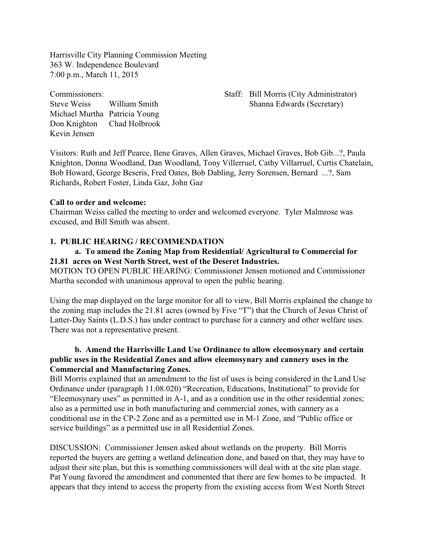Harrisville City Planning Commission Meeting 363 W. Independence Boulevard 7:00 p.m., March 11, 2015

Michael Murtha Patricia Young Don Knighton Chad Holbrook Kevin Jensen

Commissioners: Staff: Bill Morris (City Administrator) Steve Weiss William Smith Shanna Edwards (Secretary)

Visitors: Ruth and Jeff Pearce, Ilene Graves, Allen Graves, Michael Graves, Bob Gib...?, Paula Knighton, Donna Woodland, Dan Woodland, Tony Villerruel, Cathy Villarruel, Curtis Chatelain, Bob Howard, George Beseris, Fred Oates, Bob Dabling, Jerry Sorensen, Bernard ...?, Sam Richards, Robert Foster, Linda Gaz, John Gaz

#### **Call to order and welcome:**

Chairman Weiss called the meeting to order and welcomed everyone. Tyler Malmrose was excused, and Bill Smith was absent.

### **1. PUBLIC HEARING / RECOMMENDATION**

# **a. To amend the Zoning Map from Residential/ Agricultural to Commercial for 21.81 acres on West North Street, west of the Deseret Industries.**

MOTION TO OPEN PUBLIC HEARING: Commissioner Jensen motioned and Commissioner Murtha seconded with unanimous approval to open the public hearing.

Using the map displayed on the large monitor for all to view, Bill Morris explained the change to the zoning map includes the 21.81 acres (owned by Five "T") that the Church of Jesus Christ of Latter-Day Saints (L.D.S.) has under contract to purchase for a cannery and other welfare uses. There was not a representative present.

# **b. Amend the Harrisville Land Use Ordinance to allow eleemosynary and certain public uses in the Residential Zones and allow eleemosynary and cannery uses in the Commercial and Manufacturing Zones.**

Bill Morris explained that an amendment to the list of uses is being considered in the Land Use Ordinance under (paragraph 11.08.020) "Recreation, Educations, Institutional" to provide for "Eleemosynary uses" as permitted in A-1, and as a condition use in the other residential zones; also as a permitted use in both manufacturing and commercial zones, with cannery as a conditional use in the CP-2 Zone and as a permitted use in M-1 Zone, and "Public office or service buildings" as a permitted use in all Residential Zones.

DISCUSSION: Commissioner Jensen asked about wetlands on the property. Bill Morris reported the buyers are getting a wetland delineation done, and based on that, they may have to adjust their site plan, but this is something commissioners will deal with at the site plan stage. Pat Young favored the amendment and commented that there are few homes to be impacted. It appears that they intend to access the property from the existing access from West North Street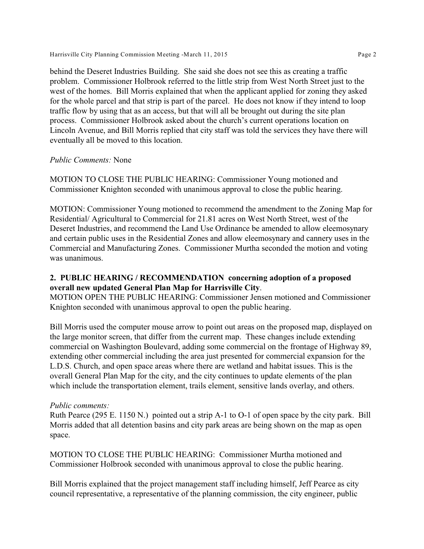Harrisville City Planning Commission Meeting -March 11, 2015 **Page 2** 

behind the Deseret Industries Building. She said she does not see this as creating a traffic problem. Commissioner Holbrook referred to the little strip from West North Street just to the west of the homes. Bill Morris explained that when the applicant applied for zoning they asked for the whole parcel and that strip is part of the parcel. He does not know if they intend to loop traffic flow by using that as an access, but that will all be brought out during the site plan process. Commissioner Holbrook asked about the church's current operations location on Lincoln Avenue, and Bill Morris replied that city staff was told the services they have there will eventually all be moved to this location.

## *Public Comments:* None

MOTION TO CLOSE THE PUBLIC HEARING: Commissioner Young motioned and Commissioner Knighton seconded with unanimous approval to close the public hearing.

MOTION: Commissioner Young motioned to recommend the amendment to the Zoning Map for Residential/ Agricultural to Commercial for 21.81 acres on West North Street, west of the Deseret Industries, and recommend the Land Use Ordinance be amended to allow eleemosynary and certain public uses in the Residential Zones and allow eleemosynary and cannery uses in the Commercial and Manufacturing Zones. Commissioner Murtha seconded the motion and voting was unanimous.

# **2. PUBLIC HEARING / RECOMMENDATION concerning adoption of a proposed overall new updated General Plan Map for Harrisville City**.

MOTION OPEN THE PUBLIC HEARING: Commissioner Jensen motioned and Commissioner Knighton seconded with unanimous approval to open the public hearing.

Bill Morris used the computer mouse arrow to point out areas on the proposed map, displayed on the large monitor screen, that differ from the current map. These changes include extending commercial on Washington Boulevard, adding some commercial on the frontage of Highway 89, extending other commercial including the area just presented for commercial expansion for the L.D.S. Church, and open space areas where there are wetland and habitat issues. This is the overall General Plan Map for the city, and the city continues to update elements of the plan which include the transportation element, trails element, sensitive lands overlay, and others.

### *Public comments:*

Ruth Pearce (295 E. 1150 N.) pointed out a strip A-1 to O-1 of open space by the city park. Bill Morris added that all detention basins and city park areas are being shown on the map as open space.

MOTION TO CLOSE THE PUBLIC HEARING: Commissioner Murtha motioned and Commissioner Holbrook seconded with unanimous approval to close the public hearing.

Bill Morris explained that the project management staff including himself, Jeff Pearce as city council representative, a representative of the planning commission, the city engineer, public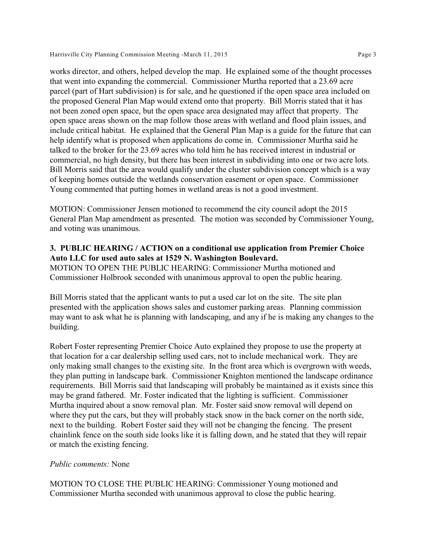works director, and others, helped develop the map. He explained some of the thought processes that went into expanding the commercial. Commissioner Murtha reported that a 23.69 acre parcel (part of Hart subdivision) is for sale, and he questioned if the open space area included on the proposed General Plan Map would extend onto that property. Bill Morris stated that it has not been zoned open space, but the open space area designated may affect that property. The open space areas shown on the map follow those areas with wetland and flood plain issues, and include critical habitat. He explained that the General Plan Map is a guide for the future that can help identify what is proposed when applications do come in. Commissioner Murtha said he talked to the broker for the 23.69 acres who told him he has received interest in industrial or commercial, no high density, but there has been interest in subdividing into one or two acre lots. Bill Morris said that the area would qualify under the cluster subdivision concept which is a way of keeping homes outside the wetlands conservation easement or open space. Commissioner Young commented that putting homes in wetland areas is not a good investment.

MOTION: Commissioner Jensen motioned to recommend the city council adopt the 2015 General Plan Map amendment as presented. The motion was seconded by Commissioner Young, and voting was unanimous.

# **3. PUBLIC HEARING / ACTION on a conditional use application from Premier Choice Auto LLC for used auto sales at 1529 N. Washington Boulevard.**

MOTION TO OPEN THE PUBLIC HEARING: Commissioner Murtha motioned and Commissioner Holbrook seconded with unanimous approval to open the public hearing.

Bill Morris stated that the applicant wants to put a used car lot on the site. The site plan presented with the application shows sales and customer parking areas. Planning commission may want to ask what he is planning with landscaping, and any if he is making any changes to the building.

Robert Foster representing Premier Choice Auto explained they propose to use the property at that location for a car dealership selling used cars, not to include mechanical work. They are only making small changes to the existing site. In the front area which is overgrown with weeds, they plan putting in landscape bark. Commissioner Knighton mentioned the landscape ordinance requirements. Bill Morris said that landscaping will probably be maintained as it exists since this may be grand fathered. Mr. Foster indicated that the lighting is sufficient. Commissioner Murtha inquired about a snow removal plan. Mr. Foster said snow removal will depend on where they put the cars, but they will probably stack snow in the back corner on the north side, next to the building. Robert Foster said they will not be changing the fencing. The present chainlink fence on the south side looks like it is falling down, and he stated that they will repair or match the existing fencing.

### *Public comments:* None

MOTION TO CLOSE THE PUBLIC HEARING: Commissioner Young motioned and Commissioner Murtha seconded with unanimous approval to close the public hearing.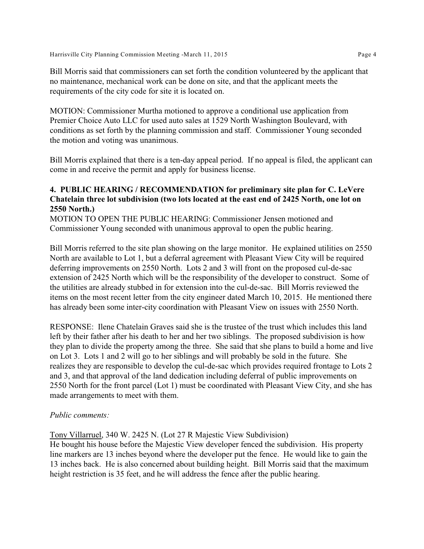Bill Morris said that commissioners can set forth the condition volunteered by the applicant that no maintenance, mechanical work can be done on site, and that the applicant meets the requirements of the city code for site it is located on.

MOTION: Commissioner Murtha motioned to approve a conditional use application from Premier Choice Auto LLC for used auto sales at 1529 North Washington Boulevard, with conditions as set forth by the planning commission and staff. Commissioner Young seconded the motion and voting was unanimous.

Bill Morris explained that there is a ten-day appeal period. If no appeal is filed, the applicant can come in and receive the permit and apply for business license.

## **4. PUBLIC HEARING / RECOMMENDATION for preliminary site plan for C. LeVere Chatelain three lot subdivision (two lots located at the east end of 2425 North, one lot on 2550 North.)**

MOTION TO OPEN THE PUBLIC HEARING: Commissioner Jensen motioned and Commissioner Young seconded with unanimous approval to open the public hearing.

Bill Morris referred to the site plan showing on the large monitor. He explained utilities on 2550 North are available to Lot 1, but a deferral agreement with Pleasant View City will be required deferring improvements on 2550 North. Lots 2 and 3 will front on the proposed cul-de-sac extension of 2425 North which will be the responsibility of the developer to construct. Some of the utilities are already stubbed in for extension into the cul-de-sac. Bill Morris reviewed the items on the most recent letter from the city engineer dated March 10, 2015. He mentioned there has already been some inter-city coordination with Pleasant View on issues with 2550 North.

RESPONSE: Ilene Chatelain Graves said she is the trustee of the trust which includes this land left by their father after his death to her and her two siblings. The proposed subdivision is how they plan to divide the property among the three. She said that she plans to build a home and live on Lot 3. Lots 1 and 2 will go to her siblings and will probably be sold in the future. She realizes they are responsible to develop the cul-de-sac which provides required frontage to Lots 2 and 3, and that approval of the land dedication including deferral of public improvements on 2550 North for the front parcel (Lot 1) must be coordinated with Pleasant View City, and she has made arrangements to meet with them.

### *Public comments:*

Tony Villarruel, 340 W. 2425 N. (Lot 27 R Majestic View Subdivision)

He bought his house before the Majestic View developer fenced the subdivision. His property line markers are 13 inches beyond where the developer put the fence. He would like to gain the 13 inches back. He is also concerned about building height. Bill Morris said that the maximum height restriction is 35 feet, and he will address the fence after the public hearing.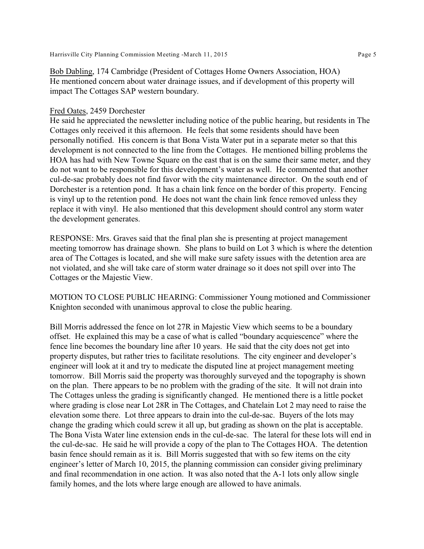Bob Dabling, 174 Cambridge (President of Cottages Home Owners Association, HOA)

He mentioned concern about water drainage issues, and if development of this property will impact The Cottages SAP western boundary.

### Fred Oates, 2459 Dorchester

He said he appreciated the newsletter including notice of the public hearing, but residents in The Cottages only received it this afternoon. He feels that some residents should have been personally notified. His concern is that Bona Vista Water put in a separate meter so that this development is not connected to the line from the Cottages. He mentioned billing problems the HOA has had with New Towne Square on the east that is on the same their same meter, and they do not want to be responsible for this development's water as well. He commented that another cul-de-sac probably does not find favor with the city maintenance director. On the south end of Dorchester is a retention pond. It has a chain link fence on the border of this property. Fencing is vinyl up to the retention pond. He does not want the chain link fence removed unless they replace it with vinyl. He also mentioned that this development should control any storm water the development generates.

RESPONSE: Mrs. Graves said that the final plan she is presenting at project management meeting tomorrow has drainage shown. She plans to build on Lot 3 which is where the detention area of The Cottages is located, and she will make sure safety issues with the detention area are not violated, and she will take care of storm water drainage so it does not spill over into The Cottages or the Majestic View.

MOTION TO CLOSE PUBLIC HEARING: Commissioner Young motioned and Commissioner Knighton seconded with unanimous approval to close the public hearing.

Bill Morris addressed the fence on lot 27R in Majestic View which seems to be a boundary offset. He explained this may be a case of what is called "boundary acquiescence" where the fence line becomes the boundary line after 10 years. He said that the city does not get into property disputes, but rather tries to facilitate resolutions. The city engineer and developer's engineer will look at it and try to medicate the disputed line at project management meeting tomorrow. Bill Morris said the property was thoroughly surveyed and the topography is shown on the plan. There appears to be no problem with the grading of the site. It will not drain into The Cottages unless the grading is significantly changed. He mentioned there is a little pocket where grading is close near Lot 28R in The Cottages, and Chatelain Lot 2 may need to raise the elevation some there. Lot three appears to drain into the cul-de-sac. Buyers of the lots may change the grading which could screw it all up, but grading as shown on the plat is acceptable. The Bona Vista Water line extension ends in the cul-de-sac. The lateral for these lots will end in the cul-de-sac. He said he will provide a copy of the plan to The Cottages HOA. The detention basin fence should remain as it is. Bill Morris suggested that with so few items on the city engineer's letter of March 10, 2015, the planning commission can consider giving preliminary and final recommendation in one action. It was also noted that the A-1 lots only allow single family homes, and the lots where large enough are allowed to have animals.